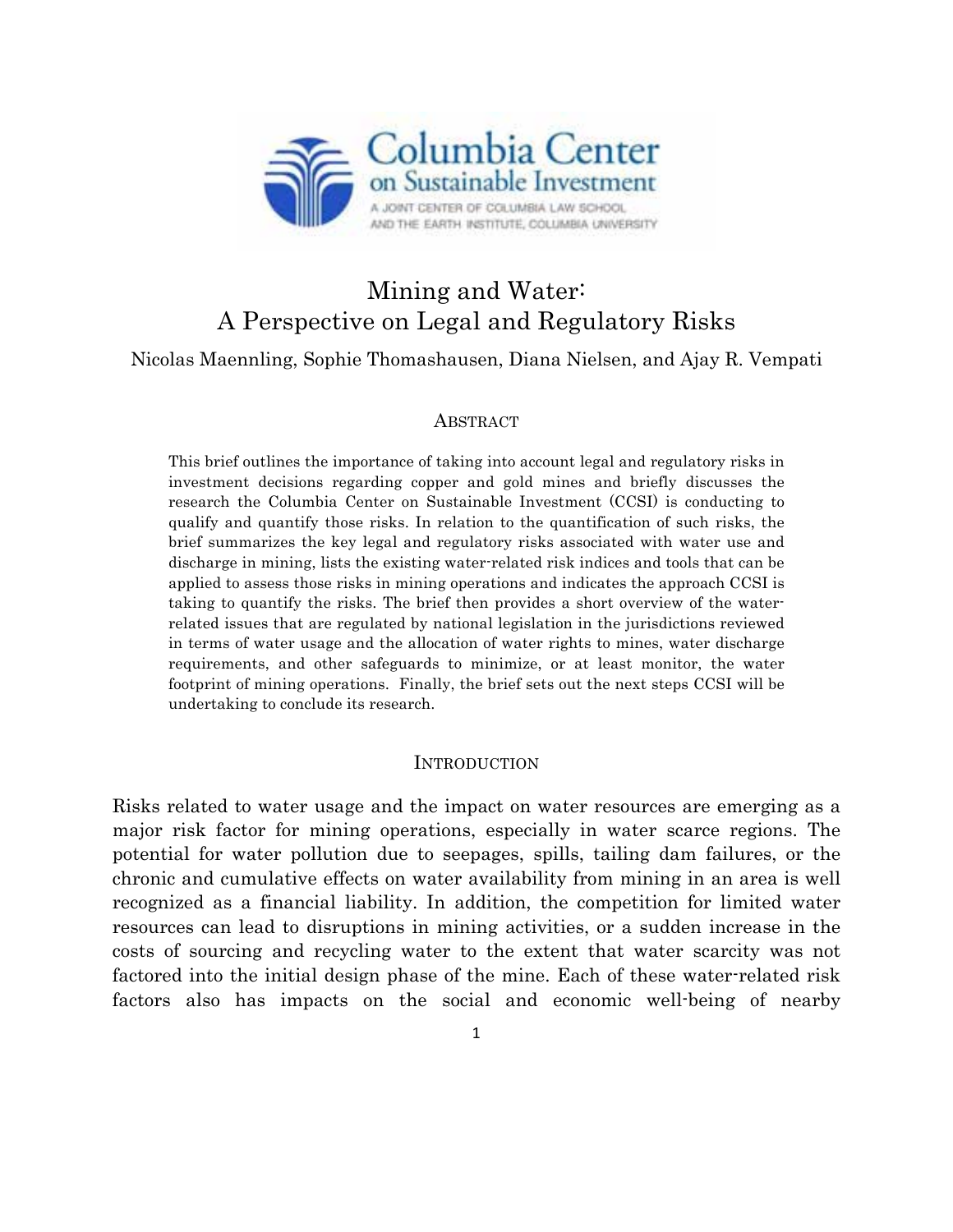

# Mining and Water: A Perspective on Legal and Regulatory Risks

Nicolas Maennling, Sophie Thomashausen, Diana Nielsen, and Ajay R. Vempati

#### ABSTRACT

This brief outlines the importance of taking into account legal and regulatory risks in investment decisions regarding copper and gold mines and briefly discusses the research the Columbia Center on Sustainable Investment (CCSI) is conducting to qualify and quantify those risks. In relation to the quantification of such risks, the brief summarizes the key legal and regulatory risks associated with water use and discharge in mining, lists the existing water-related risk indices and tools that can be applied to assess those risks in mining operations and indicates the approach CCSI is taking to quantify the risks. The brief then provides a short overview of the waterrelated issues that are regulated by national legislation in the jurisdictions reviewed in terms of water usage and the allocation of water rights to mines, water discharge requirements, and other safeguards to minimize, or at least monitor, the water footprint of mining operations. Finally, the brief sets out the next steps CCSI will be undertaking to conclude its research.

#### **INTRODUCTION**

Risks related to water usage and the impact on water resources are emerging as a major risk factor for mining operations, especially in water scarce regions. The potential for water pollution due to seepages, spills, tailing dam failures, or the chronic and cumulative effects on water availability from mining in an area is well recognized as a financial liability. In addition, the competition for limited water resources can lead to disruptions in mining activities, or a sudden increase in the costs of sourcing and recycling water to the extent that water scarcity was not factored into the initial design phase of the mine. Each of these water-related risk factors also has impacts on the social and economic well-being of nearby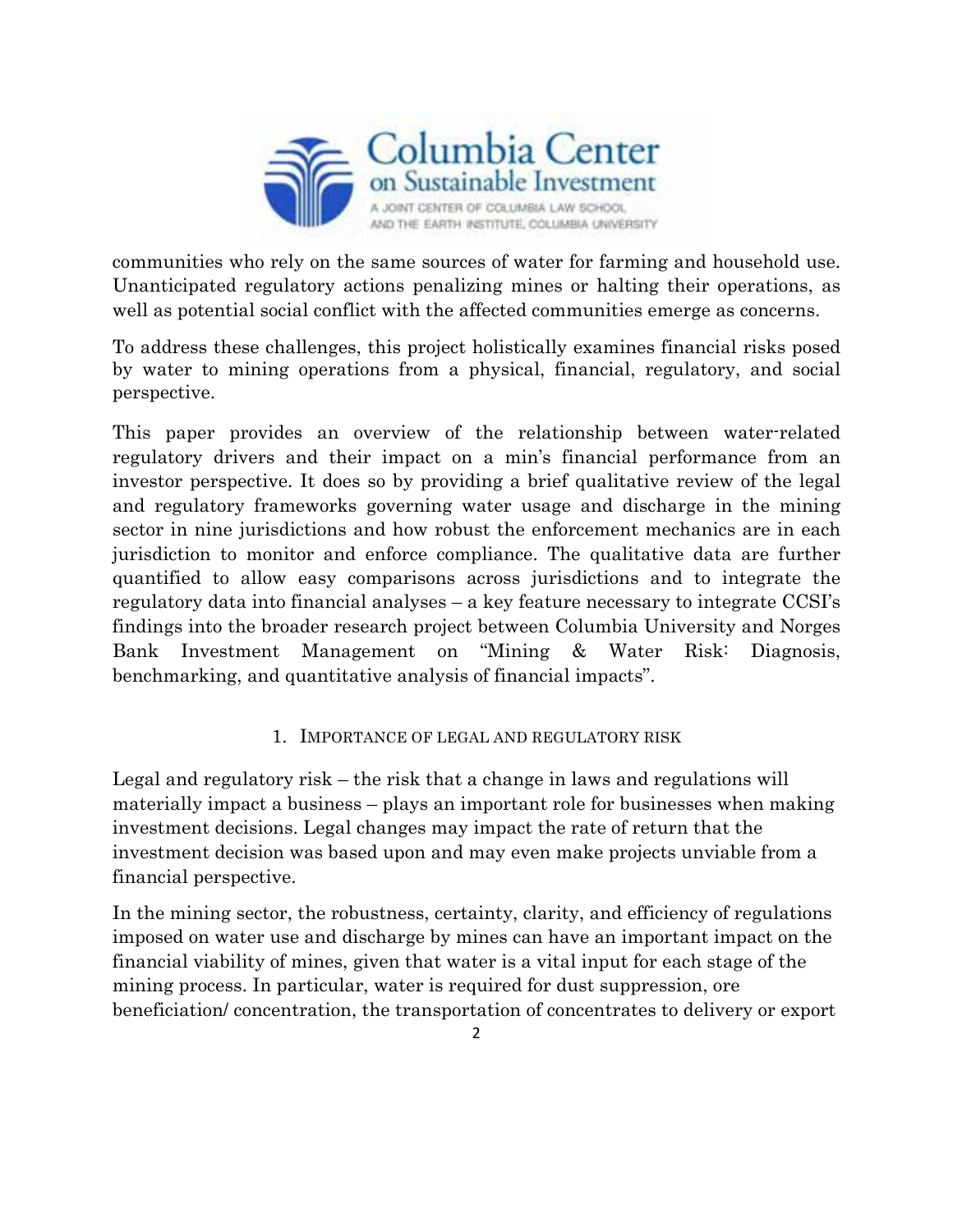

communities who rely on the same sources of water for farming and household use. Unanticipated regulatory actions penalizing mines or halting their operations, as well as potential social conflict with the affected communities emerge as concerns.

To address these challenges, this project holistically examines financial risks posed by water to mining operations from a physical, financial, regulatory, and social perspective.

This paper provides an overview of the relationship between water-related regulatory drivers and their impact on a min's financial performance from an investor perspective. It does so by providing a brief qualitative review of the legal and regulatory frameworks governing water usage and discharge in the mining sector in nine jurisdictions and how robust the enforcement mechanics are in each jurisdiction to monitor and enforce compliance. The qualitative data are further quantified to allow easy comparisons across jurisdictions and to integrate the regulatory data into financial analyses – a key feature necessary to integrate CCSI's findings into the broader research project between Columbia University and Norges Bank Investment Management on "Mining & Water Risk: Diagnosis, benchmarking, and quantitative analysis of financial impacts".

#### 1. IMPORTANCE OF LEGAL AND REGULATORY RISK

Legal and regulatory risk – the risk that a change in laws and regulations will materially impact a business – plays an important role for businesses when making investment decisions. Legal changes may impact the rate of return that the investment decision was based upon and may even make projects unviable from a financial perspective.

In the mining sector, the robustness, certainty, clarity, and efficiency of regulations imposed on water use and discharge by mines can have an important impact on the financial viability of mines, given that water is a vital input for each stage of the mining process. In particular, water is required for dust suppression, ore beneficiation/ concentration, the transportation of concentrates to delivery or export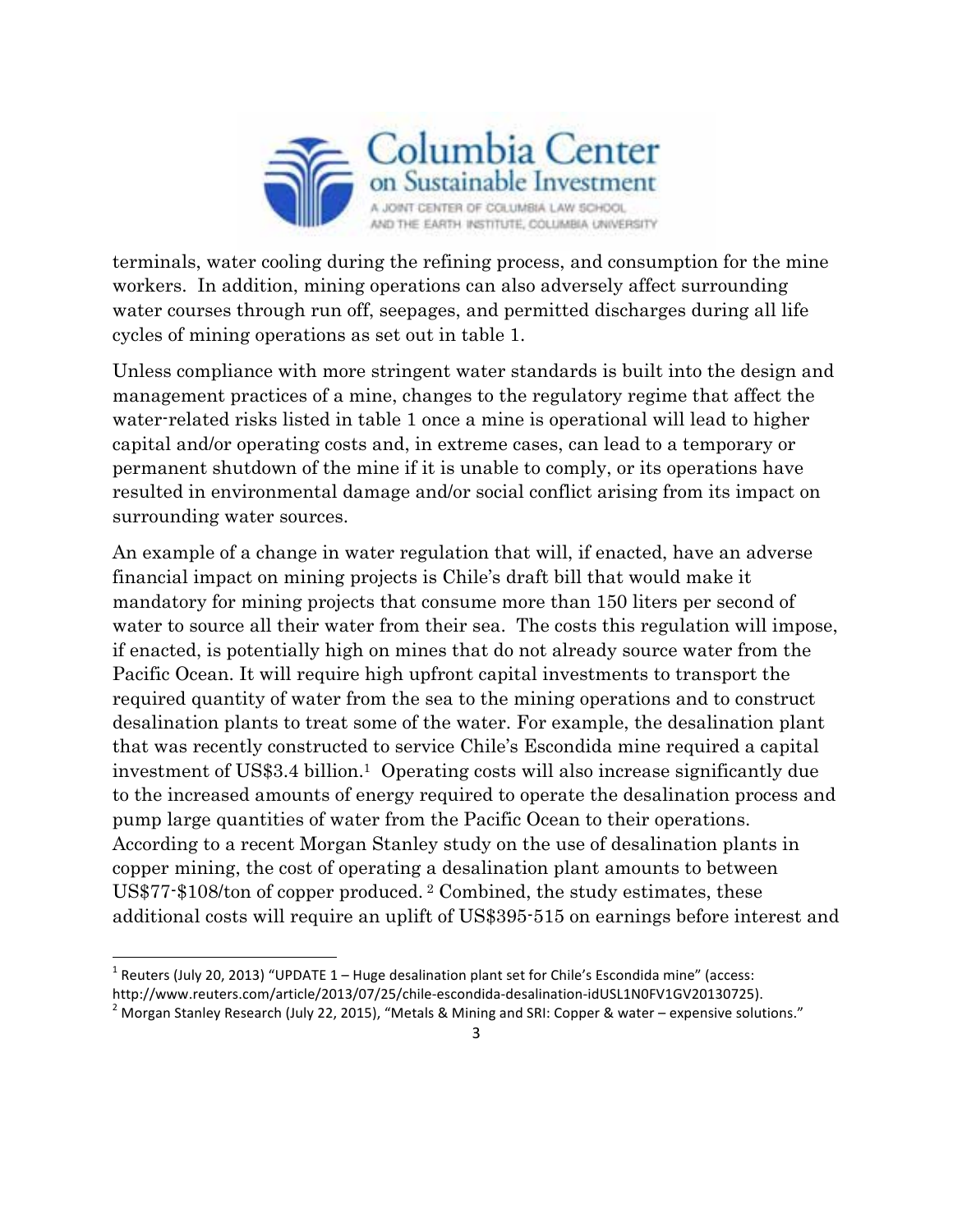

terminals, water cooling during the refining process, and consumption for the mine workers. In addition, mining operations can also adversely affect surrounding water courses through run off, seepages, and permitted discharges during all life cycles of mining operations as set out in table 1.

Unless compliance with more stringent water standards is built into the design and management practices of a mine, changes to the regulatory regime that affect the water-related risks listed in table 1 once a mine is operational will lead to higher capital and/or operating costs and, in extreme cases, can lead to a temporary or permanent shutdown of the mine if it is unable to comply, or its operations have resulted in environmental damage and/or social conflict arising from its impact on surrounding water sources.

An example of a change in water regulation that will, if enacted, have an adverse financial impact on mining projects is Chile's draft bill that would make it mandatory for mining projects that consume more than 150 liters per second of water to source all their water from their sea. The costs this regulation will impose, if enacted, is potentially high on mines that do not already source water from the Pacific Ocean. It will require high upfront capital investments to transport the required quantity of water from the sea to the mining operations and to construct desalination plants to treat some of the water. For example, the desalination plant that was recently constructed to service Chile's Escondida mine required a capital investment of US\$3.4 billion.1 Operating costs will also increase significantly due to the increased amounts of energy required to operate the desalination process and pump large quantities of water from the Pacific Ocean to their operations. According to a recent Morgan Stanley study on the use of desalination plants in copper mining, the cost of operating a desalination plant amounts to between US\$77-\$108/ton of copper produced. <sup>2</sup> Combined, the study estimates, these additional costs will require an uplift of US\$395-515 on earnings before interest and

<sup>&</sup>lt;sup>1</sup> Reuters (July 20, 2013) "UPDATE 1 – Huge desalination plant set for Chile's Escondida mine" (access:<br>http://www.reuters.com/article/2013/07/25/chile-escondida-desalination-idUSL1N0FV1GV20130725).

<sup>&</sup>lt;sup>2</sup> Morgan Stanley Research (July 22, 2015), "Metals & Mining and SRI: Copper & water – expensive solutions."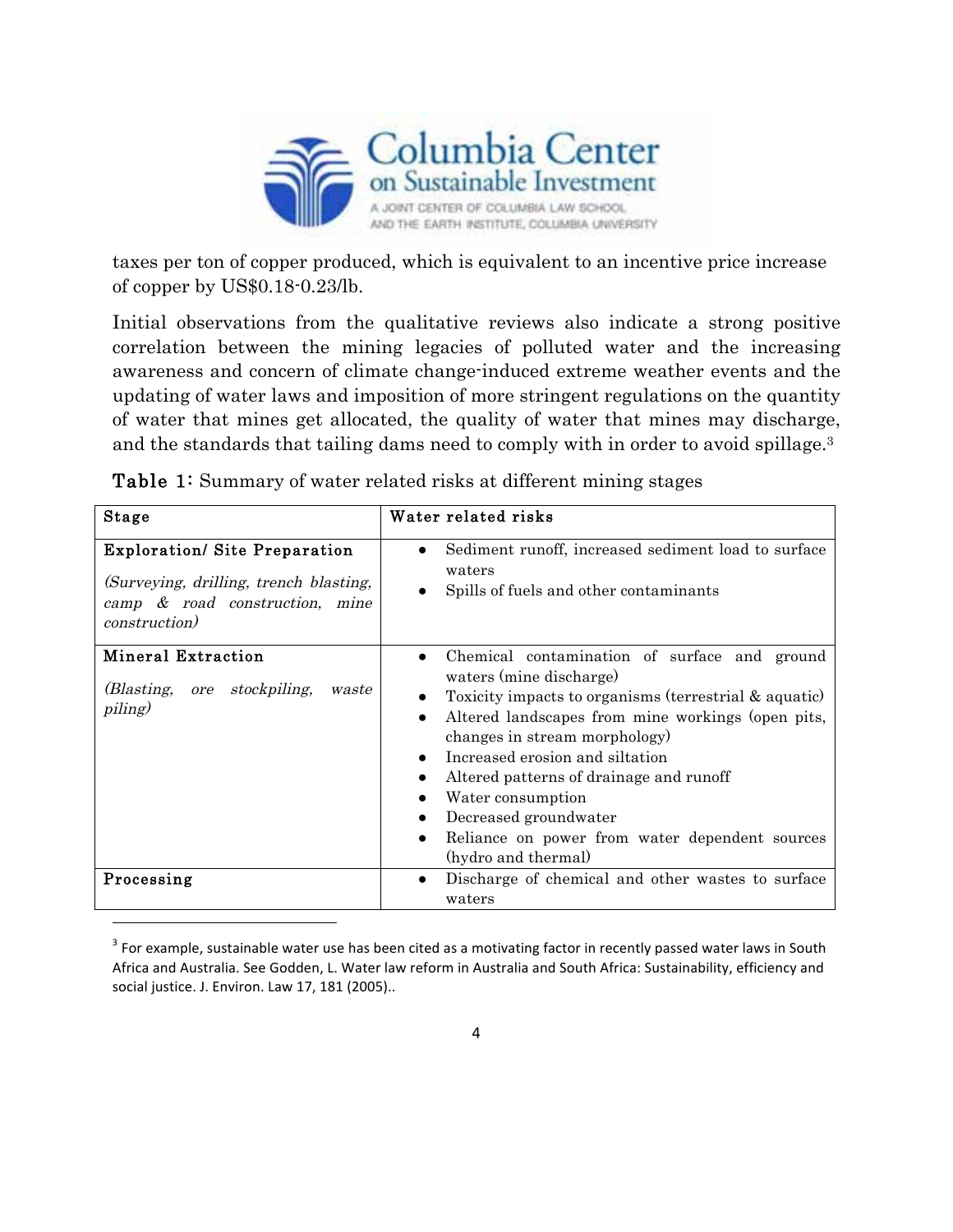

taxes per ton of copper produced, which is equivalent to an incentive price increase of copper by US\$0.18-0.23/lb.

Initial observations from the qualitative reviews also indicate a strong positive correlation between the mining legacies of polluted water and the increasing awareness and concern of climate change-induced extreme weather events and the updating of water laws and imposition of more stringent regulations on the quantity of water that mines get allocated, the quality of water that mines may discharge, and the standards that tailing dams need to comply with in order to avoid spillage.3

| <b>Stage</b>                                                                                                                              | Water related risks                                                                                                                                                                                                                                                                                                                                                                                                                                                            |  |  |  |
|-------------------------------------------------------------------------------------------------------------------------------------------|--------------------------------------------------------------------------------------------------------------------------------------------------------------------------------------------------------------------------------------------------------------------------------------------------------------------------------------------------------------------------------------------------------------------------------------------------------------------------------|--|--|--|
| <b>Exploration/ Site Preparation</b><br>(Surveying, drilling, trench blasting,<br>camp & road construction, mine<br><i>construction</i> ) | Sediment runoff, increased sediment load to surface<br>waters<br>Spills of fuels and other contaminants                                                                                                                                                                                                                                                                                                                                                                        |  |  |  |
| <b>Mineral Extraction</b><br>(Blasting, ore<br>stockpiling,<br>waste<br>piling)                                                           | Chemical contamination of surface and ground<br>$\bullet$<br>waters (mine discharge)<br>Toxicity impacts to organisms (terrestrial & aquatic)<br>Altered landscapes from mine workings (open pits,<br>$\bullet$<br>changes in stream morphology<br>Increased erosion and siltation<br>Altered patterns of drainage and runoff<br>$\bullet$<br>Water consumption<br>Decreased groundwater<br>Reliance on power from water dependent sources<br>$\bullet$<br>(hydro and thermal) |  |  |  |
| Processing                                                                                                                                | Discharge of chemical and other wastes to surface<br>waters                                                                                                                                                                                                                                                                                                                                                                                                                    |  |  |  |

Table 1: Summary of water related risks at different mining stages

 $3$  For example, sustainable water use has been cited as a motivating factor in recently passed water laws in South Africa and Australia. See Godden, L. Water law reform in Australia and South Africa: Sustainability, efficiency and social justice. J. Environ. Law 17, 181 (2005)..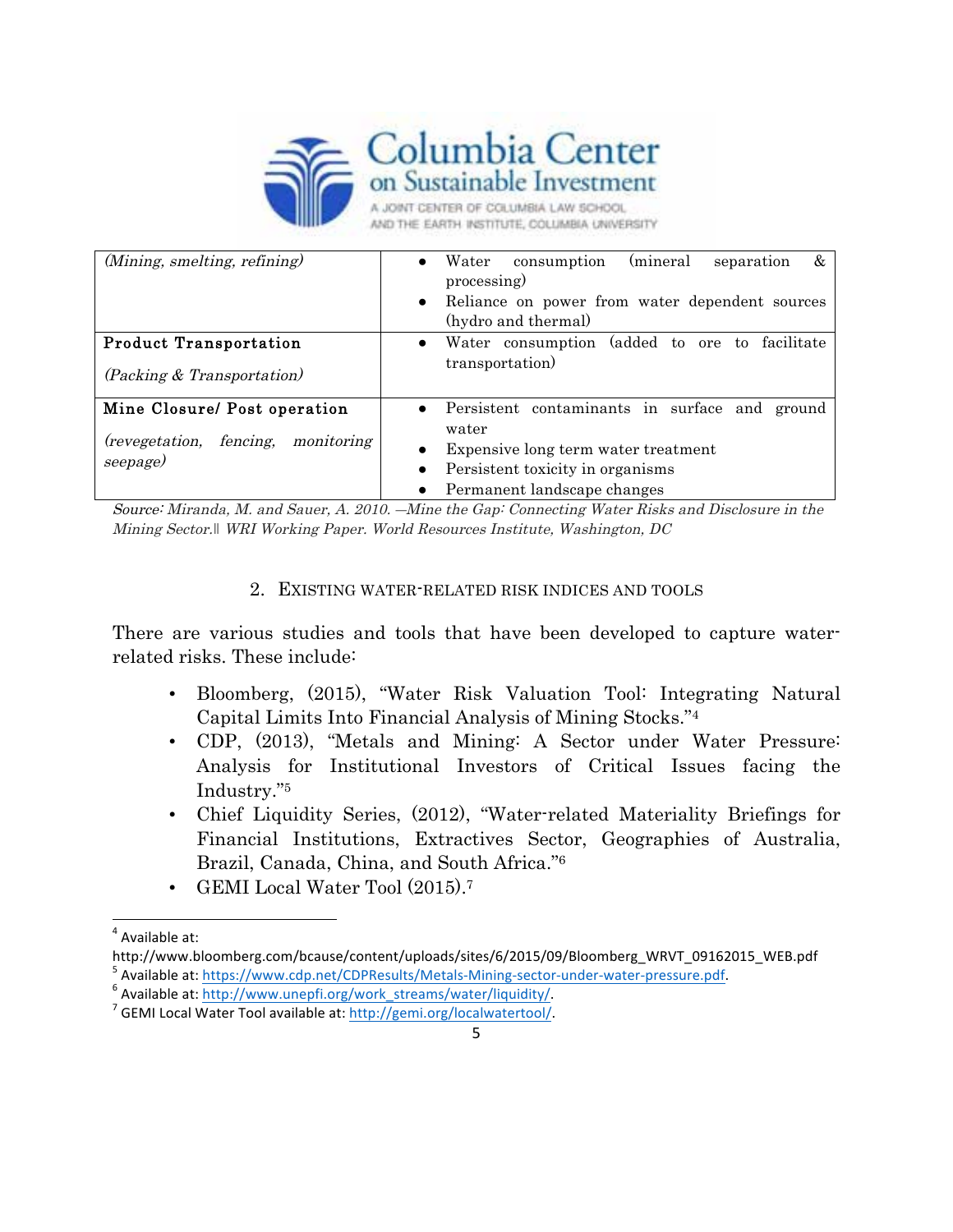

| (Mining, smelting, refining)                                                                | (mineral<br>Water<br>&<br>separation<br>consumption<br>processing)<br>Reliance on power from water dependent sources<br>$\bullet$<br>(hydro and thermal)            |
|---------------------------------------------------------------------------------------------|---------------------------------------------------------------------------------------------------------------------------------------------------------------------|
| <b>Product Transportation</b><br>(Packing & Transportation)                                 | Water consumption (added to ore to facilitate<br>$\bullet$<br>transportation)                                                                                       |
| Mine Closure/ Post operation<br>fencing,<br><i>(revegetation,</i><br>monitoring<br>seepage) | Persistent contaminants in surface and<br>ground<br>water<br>Expensive long term water treatment<br>Persistent toxicity in organisms<br>Permanent landscape changes |

Source: Miranda, M. and Sauer, A. 2010. ―Mine the Gap: Connecting Water Risks and Disclosure in the Mining Sector.*‖* WRI Working Paper. World Resources Institute, Washington, DC

#### 2. EXISTING WATER-RELATED RISK INDICES AND TOOLS

There are various studies and tools that have been developed to capture waterrelated risks. These include:

- Bloomberg, (2015), "Water Risk Valuation Tool: Integrating Natural Capital Limits Into Financial Analysis of Mining Stocks."4
- CDP, (2013), "Metals and Mining: A Sector under Water Pressure: Analysis for Institutional Investors of Critical Issues facing the Industry."5
- Chief Liquidity Series, (2012), "Water-related Materiality Briefings for Financial Institutions, Extractives Sector, Geographies of Australia, Brazil, Canada, China, and South Africa."6
- GEMI Local Water Tool (2015).<sup>7</sup>

 $4$  Available at:

http://www.bloomberg.com/bcause/content/uploads/sites/6/2015/09/Bloomberg\_WRVT\_09162015\_WEB.pdf

<sup>&</sup>lt;sup>5</sup> Available at: https://www.cdp.net/CDPResults/Metals-Mining-sector-under-water-pressure.pdf.<br><sup>6</sup> Available at: http://www.unepfi.org/work\_streams/water/liquidity/.<br><sup>7</sup> GEMI Local Water Tool available at: http://gemi.or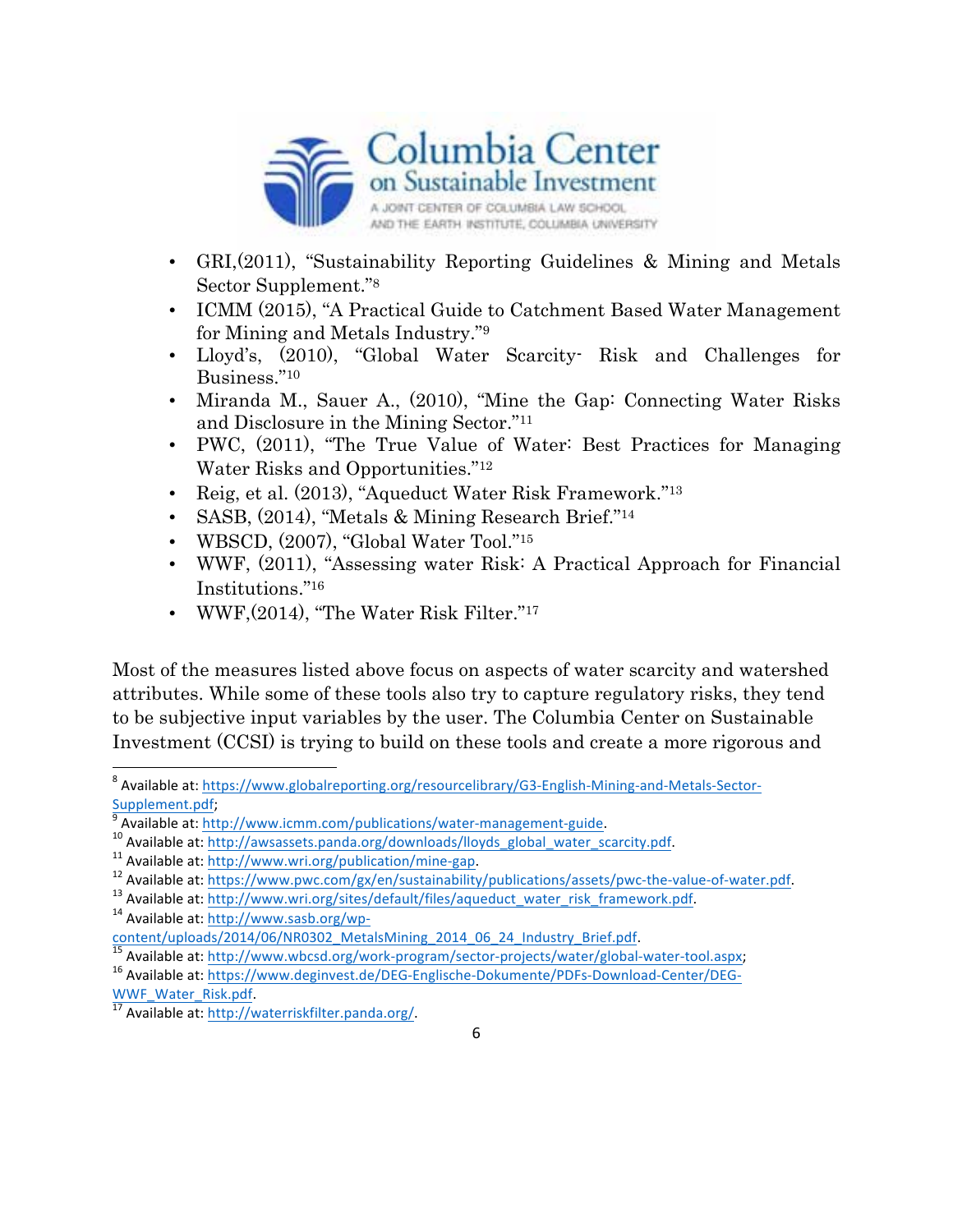

- GRI,(2011), "Sustainability Reporting Guidelines & Mining and Metals Sector Supplement."8
- ICMM (2015), "A Practical Guide to Catchment Based Water Management for Mining and Metals Industry."9
- Lloyd's, (2010), "Global Water Scarcity- Risk and Challenges for Business."10
- Miranda M., Sauer A., (2010), "Mine the Gap: Connecting Water Risks and Disclosure in the Mining Sector."11
- PWC,  $(2011)$ , "The True Value of Water: Best Practices for Managing Water Risks and Opportunities."12
- Reig, et al. (2013), "Aqueduct Water Risk Framework."13
- SASB, (2014), "Metals & Mining Research Brief."<sup>14</sup>
- WBSCD, (2007), "Global Water Tool."15
- WWF, (2011), "Assessing water Risk: A Practical Approach for Financial Institutions."16
- WWF, (2014), "The Water Risk Filter."<sup>17</sup>

Most of the measures listed above focus on aspects of water scarcity and watershed attributes. While some of these tools also try to capture regulatory risks, they tend to be subjective input variables by the user. The Columbia Center on Sustainable Investment (CCSI) is trying to build on these tools and create a more rigorous and

<sup>8</sup> Available at: https://www.globalreporting.org/resourcelibrary/G3-English-Mining-and-Metals-Sector-<br>Supplement.pdf;<br>9 Available at 1:1:

<sup>&</sup>lt;sup>9</sup> Available at: http://www.icmm.com/publications/water-management-guide.<br>
<sup>10</sup> Available at: http://awsassets.panda.org/downloads/lloyds\_global\_water\_scarcity.pdf.<br>
<sup>11</sup> Available at: http://www.wri.org/publication/mine

content/uploads/2014/06/NR0302\_MetalsMining\_2014\_06\_24\_Industry\_Brief.pdf.<br>
<sup>15</sup> Available at: http://www.wbcsd.org/work-program/sector-projects/water/global-water-tool.aspx;<br>
<sup>16</sup> Available at: https://www.deginvest.de/DE

WWFERISCHLIFT Available at: http://waterriskfilter.panda.org/.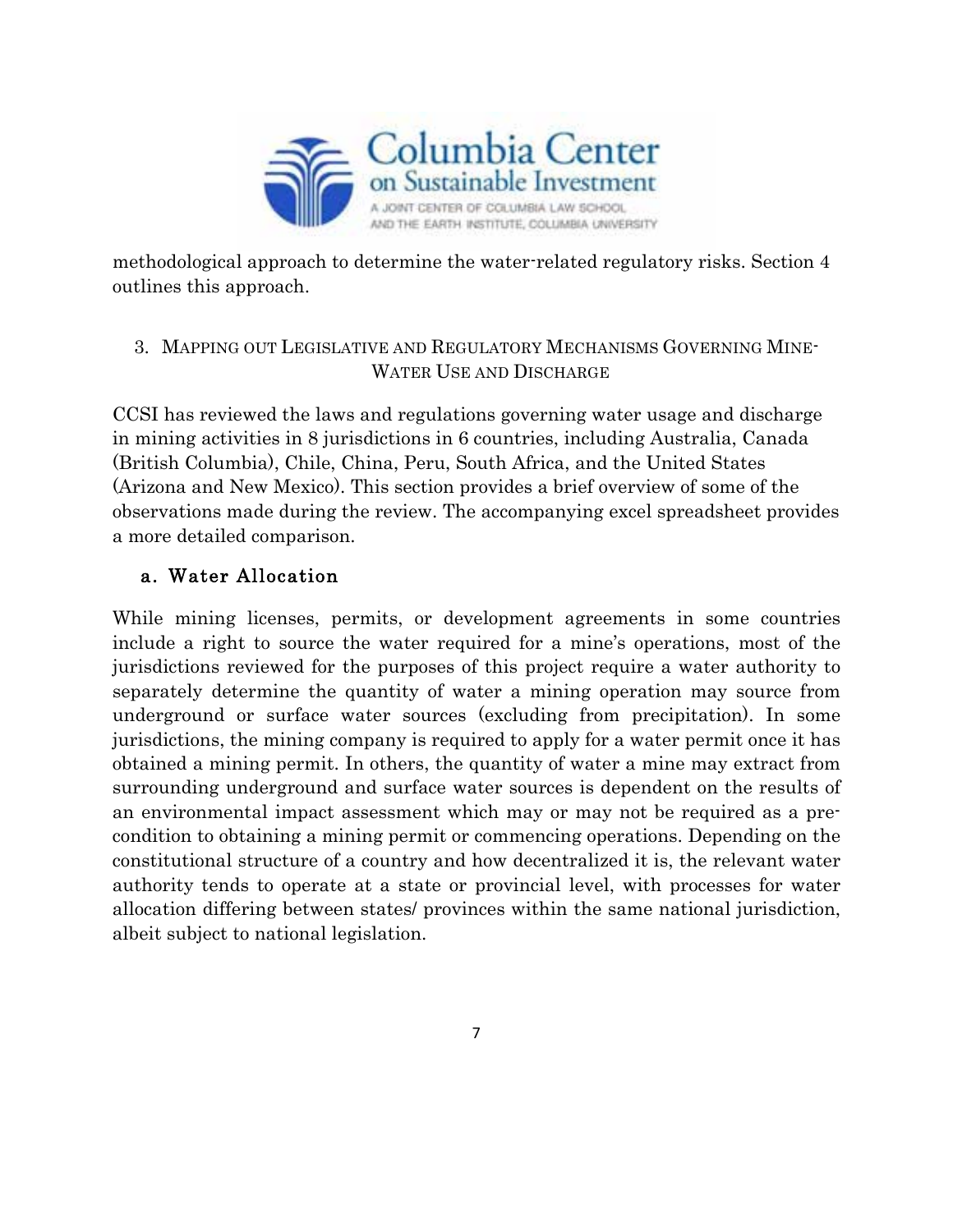

methodological approach to determine the water-related regulatory risks. Section 4 outlines this approach.

# 3. MAPPING OUT LEGISLATIVE AND REGULATORY MECHANISMS GOVERNING MINE-WATER USE AND DISCHARGE

CCSI has reviewed the laws and regulations governing water usage and discharge in mining activities in 8 jurisdictions in 6 countries, including Australia, Canada (British Columbia), Chile, China, Peru, South Africa, and the United States (Arizona and New Mexico). This section provides a brief overview of some of the observations made during the review. The accompanying excel spreadsheet provides a more detailed comparison.

# a. Water Allocation

While mining licenses, permits, or development agreements in some countries include a right to source the water required for a mine's operations, most of the jurisdictions reviewed for the purposes of this project require a water authority to separately determine the quantity of water a mining operation may source from underground or surface water sources (excluding from precipitation). In some jurisdictions, the mining company is required to apply for a water permit once it has obtained a mining permit. In others, the quantity of water a mine may extract from surrounding underground and surface water sources is dependent on the results of an environmental impact assessment which may or may not be required as a precondition to obtaining a mining permit or commencing operations. Depending on the constitutional structure of a country and how decentralized it is, the relevant water authority tends to operate at a state or provincial level, with processes for water allocation differing between states/ provinces within the same national jurisdiction, albeit subject to national legislation.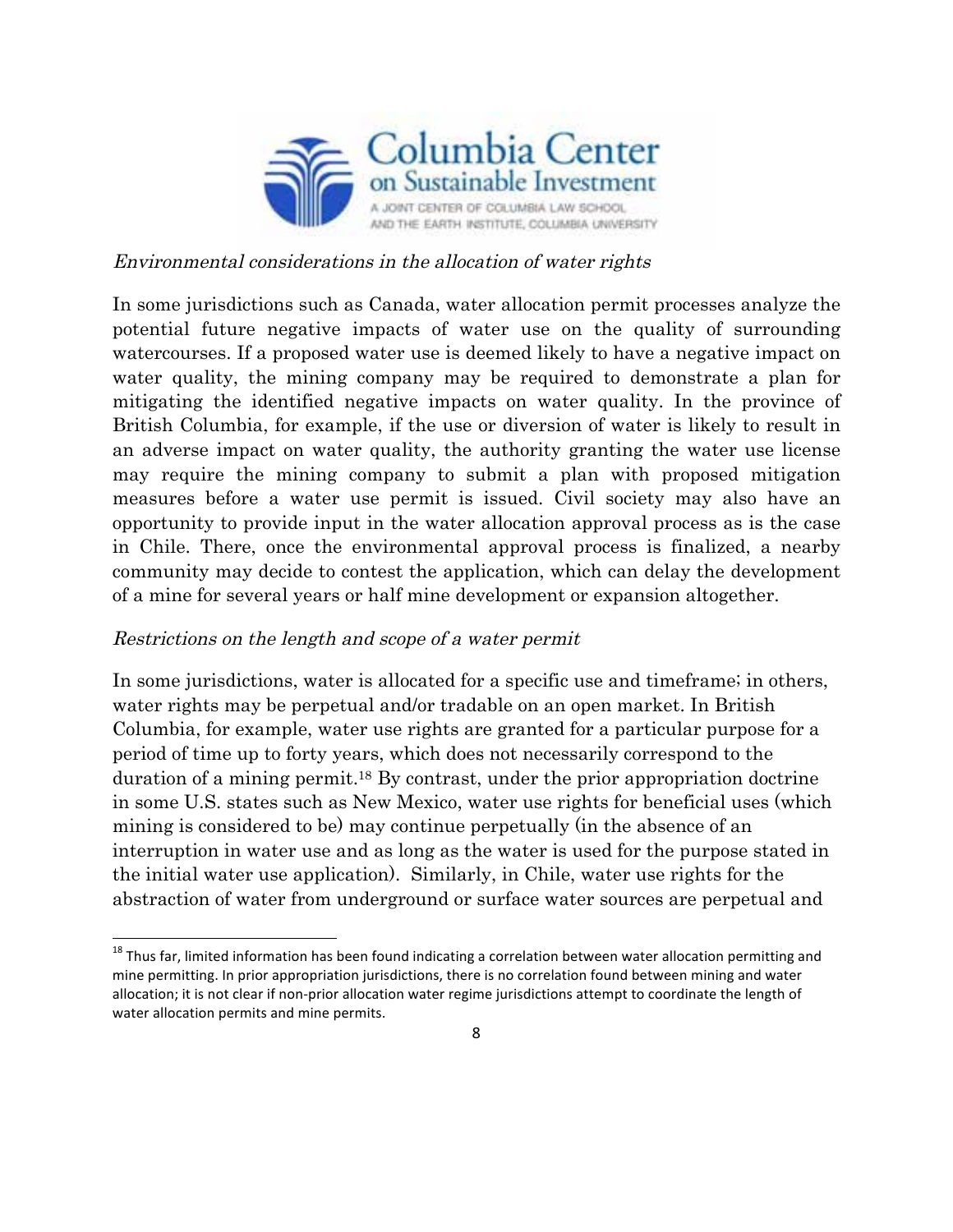

#### Environmental considerations in the allocation of water rights

In some jurisdictions such as Canada, water allocation permit processes analyze the potential future negative impacts of water use on the quality of surrounding watercourses. If a proposed water use is deemed likely to have a negative impact on water quality, the mining company may be required to demonstrate a plan for mitigating the identified negative impacts on water quality. In the province of British Columbia, for example, if the use or diversion of water is likely to result in an adverse impact on water quality, the authority granting the water use license may require the mining company to submit a plan with proposed mitigation measures before a water use permit is issued. Civil society may also have an opportunity to provide input in the water allocation approval process as is the case in Chile. There, once the environmental approval process is finalized, a nearby community may decide to contest the application, which can delay the development of a mine for several years or half mine development or expansion altogether.

#### Restrictions on the length and scope of a water permit

 

In some jurisdictions, water is allocated for a specific use and timeframe; in others, water rights may be perpetual and/or tradable on an open market. In British Columbia, for example, water use rights are granted for a particular purpose for a period of time up to forty years, which does not necessarily correspond to the duration of a mining permit.18 By contrast, under the prior appropriation doctrine in some U.S. states such as New Mexico, water use rights for beneficial uses (which mining is considered to be) may continue perpetually (in the absence of an interruption in water use and as long as the water is used for the purpose stated in the initial water use application). Similarly, in Chile, water use rights for the abstraction of water from underground or surface water sources are perpetual and

 $18$  Thus far, limited information has been found indicating a correlation between water allocation permitting and mine permitting. In prior appropriation jurisdictions, there is no correlation found between mining and water allocation; it is not clear if non-prior allocation water regime jurisdictions attempt to coordinate the length of water allocation permits and mine permits.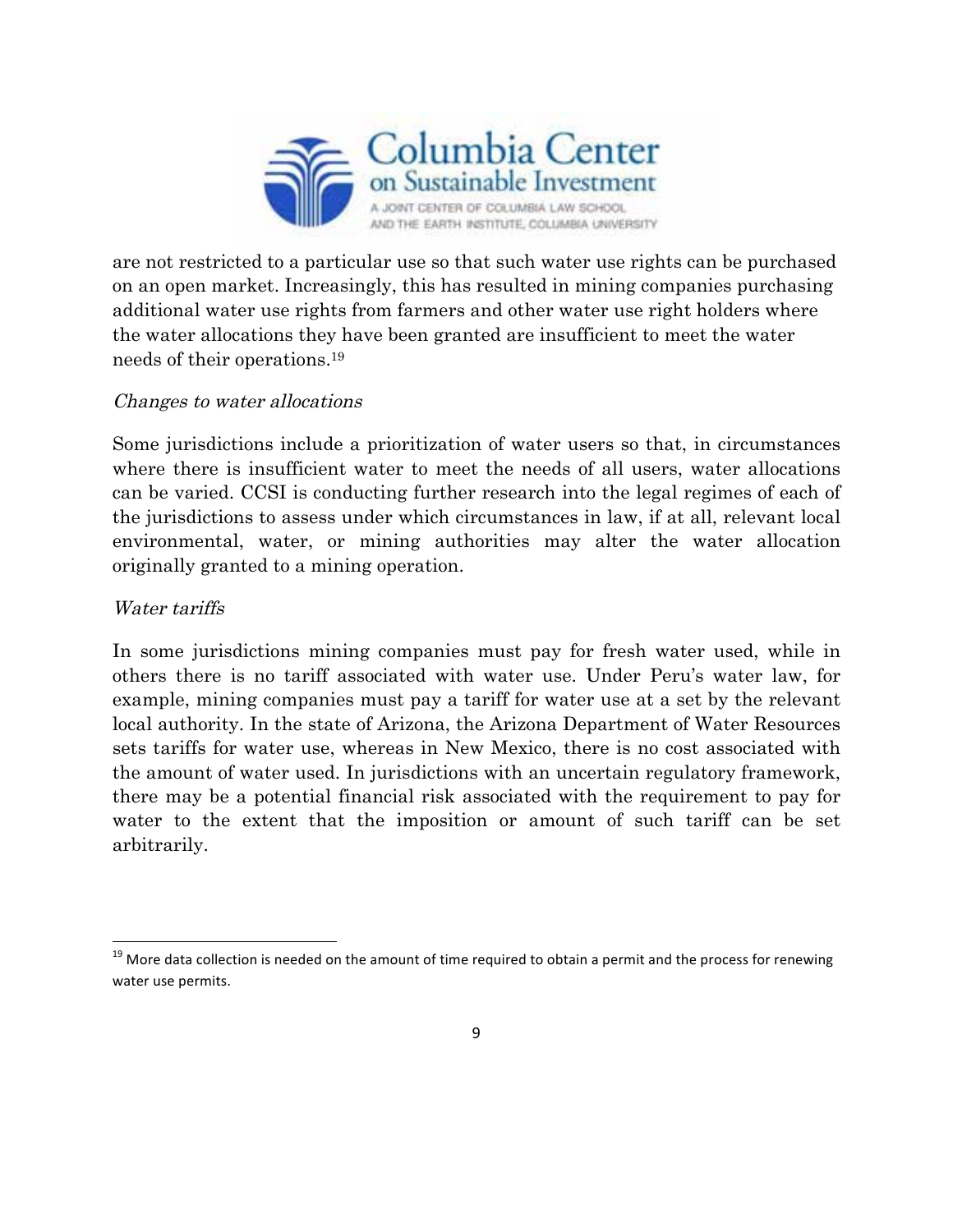

are not restricted to a particular use so that such water use rights can be purchased on an open market. Increasingly, this has resulted in mining companies purchasing additional water use rights from farmers and other water use right holders where the water allocations they have been granted are insufficient to meet the water needs of their operations.19

### Changes to water allocations

 

Some jurisdictions include a prioritization of water users so that, in circumstances where there is insufficient water to meet the needs of all users, water allocations can be varied. CCSI is conducting further research into the legal regimes of each of the jurisdictions to assess under which circumstances in law, if at all, relevant local environmental, water, or mining authorities may alter the water allocation originally granted to a mining operation.

### Water tariffs

In some jurisdictions mining companies must pay for fresh water used, while in others there is no tariff associated with water use. Under Peru's water law, for example, mining companies must pay a tariff for water use at a set by the relevant local authority. In the state of Arizona, the Arizona Department of Water Resources sets tariffs for water use, whereas in New Mexico, there is no cost associated with the amount of water used. In jurisdictions with an uncertain regulatory framework, there may be a potential financial risk associated with the requirement to pay for water to the extent that the imposition or amount of such tariff can be set arbitrarily.

 $19$  More data collection is needed on the amount of time required to obtain a permit and the process for renewing water use permits.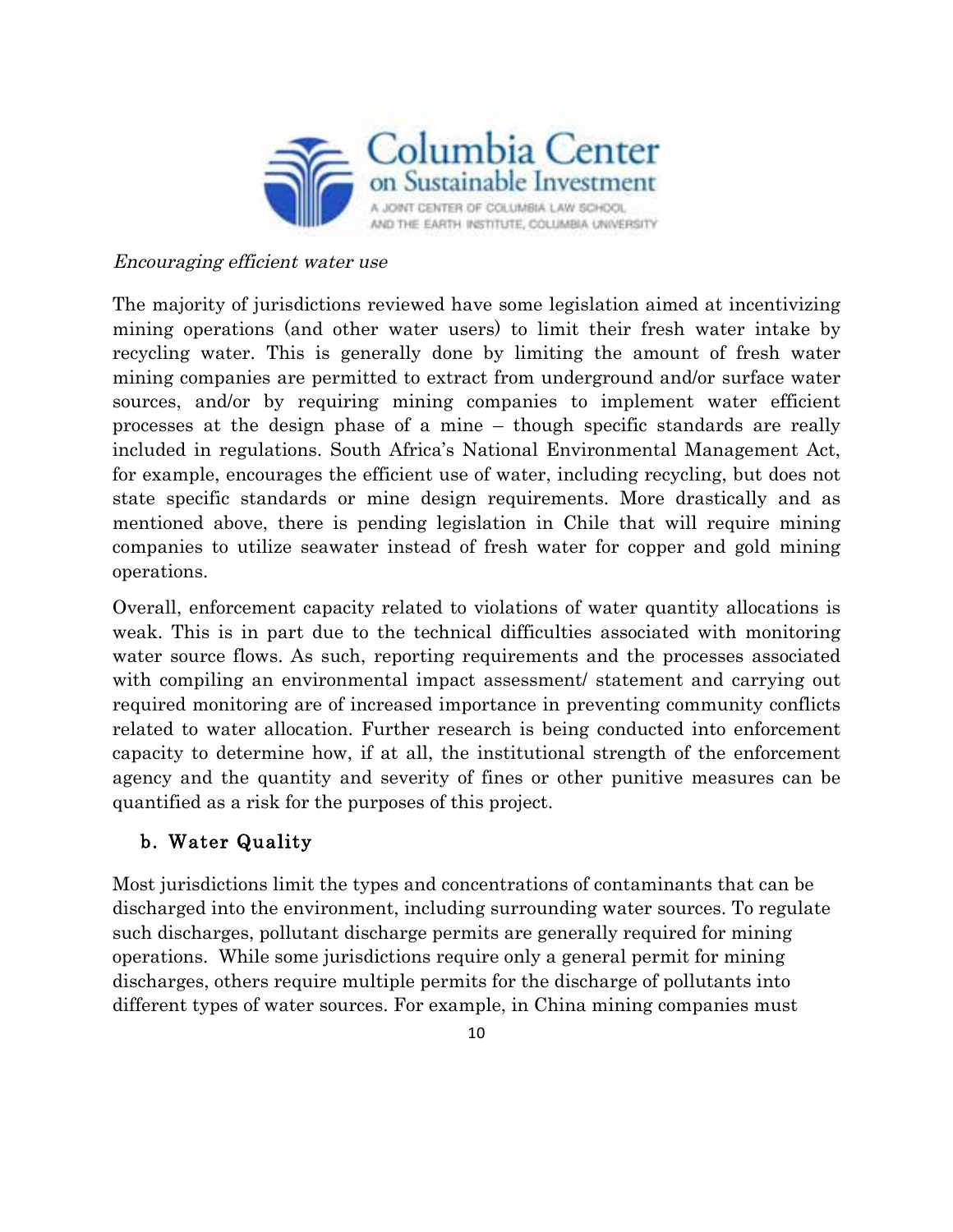

#### Encouraging efficient water use

The majority of jurisdictions reviewed have some legislation aimed at incentivizing mining operations (and other water users) to limit their fresh water intake by recycling water. This is generally done by limiting the amount of fresh water mining companies are permitted to extract from underground and/or surface water sources, and/or by requiring mining companies to implement water efficient processes at the design phase of a mine – though specific standards are really included in regulations. South Africa's National Environmental Management Act, for example, encourages the efficient use of water, including recycling, but does not state specific standards or mine design requirements. More drastically and as mentioned above, there is pending legislation in Chile that will require mining companies to utilize seawater instead of fresh water for copper and gold mining operations.

Overall, enforcement capacity related to violations of water quantity allocations is weak. This is in part due to the technical difficulties associated with monitoring water source flows. As such, reporting requirements and the processes associated with compiling an environmental impact assessment/ statement and carrying out required monitoring are of increased importance in preventing community conflicts related to water allocation. Further research is being conducted into enforcement capacity to determine how, if at all, the institutional strength of the enforcement agency and the quantity and severity of fines or other punitive measures can be quantified as a risk for the purposes of this project.

# b. Water Quality

Most jurisdictions limit the types and concentrations of contaminants that can be discharged into the environment, including surrounding water sources. To regulate such discharges, pollutant discharge permits are generally required for mining operations. While some jurisdictions require only a general permit for mining discharges, others require multiple permits for the discharge of pollutants into different types of water sources. For example, in China mining companies must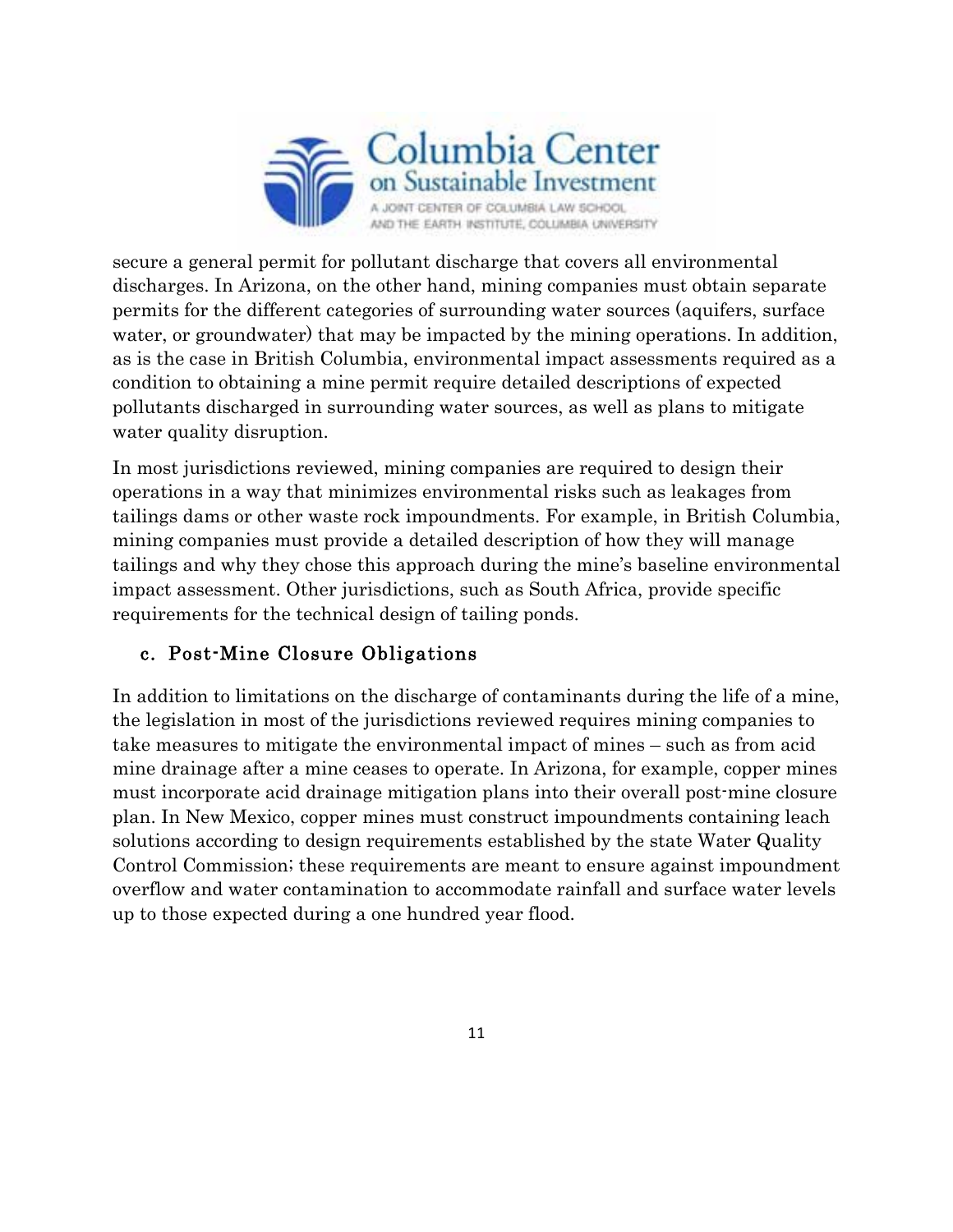

secure a general permit for pollutant discharge that covers all environmental discharges. In Arizona, on the other hand, mining companies must obtain separate permits for the different categories of surrounding water sources (aquifers, surface water, or groundwater) that may be impacted by the mining operations. In addition, as is the case in British Columbia, environmental impact assessments required as a condition to obtaining a mine permit require detailed descriptions of expected pollutants discharged in surrounding water sources, as well as plans to mitigate water quality disruption.

In most jurisdictions reviewed, mining companies are required to design their operations in a way that minimizes environmental risks such as leakages from tailings dams or other waste rock impoundments. For example, in British Columbia, mining companies must provide a detailed description of how they will manage tailings and why they chose this approach during the mine's baseline environmental impact assessment. Other jurisdictions, such as South Africa, provide specific requirements for the technical design of tailing ponds.

# c. Post-Mine Closure Obligations

In addition to limitations on the discharge of contaminants during the life of a mine, the legislation in most of the jurisdictions reviewed requires mining companies to take measures to mitigate the environmental impact of mines – such as from acid mine drainage after a mine ceases to operate. In Arizona, for example, copper mines must incorporate acid drainage mitigation plans into their overall post-mine closure plan. In New Mexico, copper mines must construct impoundments containing leach solutions according to design requirements established by the state Water Quality Control Commission; these requirements are meant to ensure against impoundment overflow and water contamination to accommodate rainfall and surface water levels up to those expected during a one hundred year flood.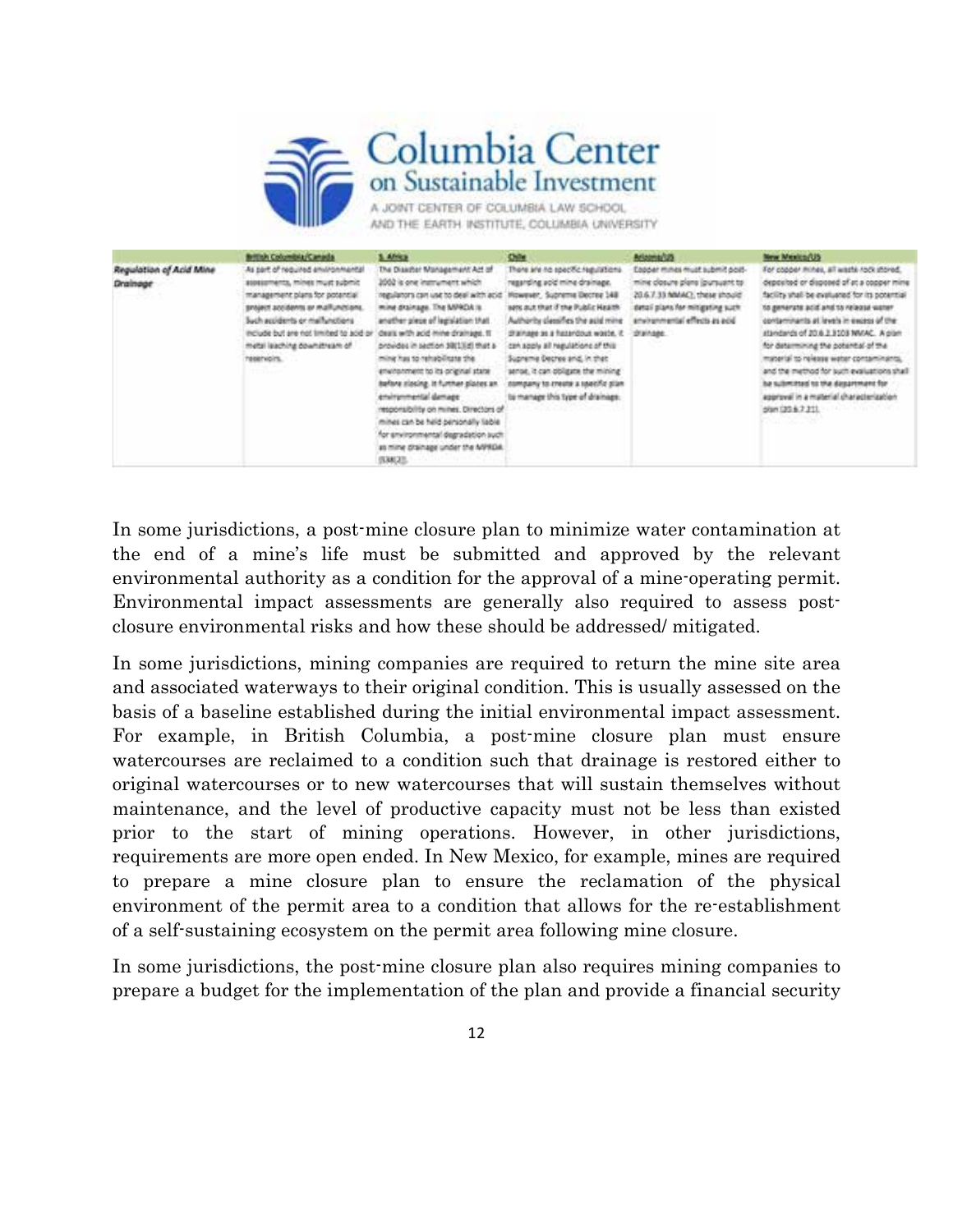

|                                     | British Columbia/Canada                                                                                                                                                                                                                                                                    | 5. Africa                                                                                                                                                                                                                                                                                                                                                                                                                                                                                                                                                                | <b>Chile</b>                                                                                                                                                                                                                                                                                                                                                                                                                  | Arizona/US                                                                                                                                                                                 | New Mexico/US                                                                                                                                                                                                                                                                                                                                                                                                                                                                                                                       |
|-------------------------------------|--------------------------------------------------------------------------------------------------------------------------------------------------------------------------------------------------------------------------------------------------------------------------------------------|--------------------------------------------------------------------------------------------------------------------------------------------------------------------------------------------------------------------------------------------------------------------------------------------------------------------------------------------------------------------------------------------------------------------------------------------------------------------------------------------------------------------------------------------------------------------------|-------------------------------------------------------------------------------------------------------------------------------------------------------------------------------------------------------------------------------------------------------------------------------------------------------------------------------------------------------------------------------------------------------------------------------|--------------------------------------------------------------------------------------------------------------------------------------------------------------------------------------------|-------------------------------------------------------------------------------------------------------------------------------------------------------------------------------------------------------------------------------------------------------------------------------------------------------------------------------------------------------------------------------------------------------------------------------------------------------------------------------------------------------------------------------------|
| Regulation of Acid Mine<br>Drainage | As part of required environmental<br>assessments, mines must submit<br>management plans for potential<br>project accidents or malfunctions.<br>Sych accidents or mail uncliens<br>include but are not limited to acid or<br>metal laaching downstream of<br>reservoirs.<br><b>TTTD</b> com | The Disaster Management Act of<br>2002 is one instrument which<br>regulators can use to deal with acid."<br>mine drainage. The MPROA is<br>another piece of legislation that<br>deals with acid mine drainage. It<br>provides in section 39(1)[d] that a<br>sing ansalideries at series<br>environment to its original state<br>before slocing. It further plates an.<br>environmental damage<br>responsibility on millies. Directors of<br>mines can be held personally liable<br>for environmental degradation such<br>as mine chainage under the MPRDA.<br>(538) 371. | There are no specific regulations.<br>regarding acid mine drainage.<br>However, Supreme Decree 148<br>sets aut that if the Public Health<br>Authority classifies the acid mine<br>chairuse se a futerdout words. it<br>can soply all regulations of this<br>Supreme Decree and, in that<br>sense, it can obligate the mining<br>nampany to create a specific plan<br>to manage this type of drainage.<br>IS A LIVE CONTRACTOR | Eagoer mines must submit post-<br>mine dosure plans (pursuant to:<br>20.6.7.33 NIMAC), these should<br>datal plans for mitigating such<br>anying member effects as add.<br><b>STAINABE</b> | For copper mines, all waste rock stored.<br>deposited or disposed of at a copper min<br>facility shall be evaluated for its potential<br>to generate acid and to release were?<br>contaminants at levels in excess of the<br>standards of 20.6.2.3103 MAIAC. A plant<br>for determining the potential of the<br>material to release weter conteminants.<br>and the method for such evaluations sha<br>ha submitted to the daspronant for<br>approval in a material characterization<br>00m 00 5.7 211 1000 1000 1000<br>tan soo san |

In some jurisdictions, a post-mine closure plan to minimize water contamination at the end of a mine's life must be submitted and approved by the relevant environmental authority as a condition for the approval of a mine-operating permit. Environmental impact assessments are generally also required to assess postclosure environmental risks and how these should be addressed/ mitigated.

In some jurisdictions, mining companies are required to return the mine site area and associated waterways to their original condition. This is usually assessed on the basis of a baseline established during the initial environmental impact assessment. For example, in British Columbia, a post-mine closure plan must ensure watercourses are reclaimed to a condition such that drainage is restored either to original watercourses or to new watercourses that will sustain themselves without maintenance, and the level of productive capacity must not be less than existed prior to the start of mining operations. However, in other jurisdictions, requirements are more open ended. In New Mexico, for example, mines are required to prepare a mine closure plan to ensure the reclamation of the physical environment of the permit area to a condition that allows for the re-establishment of a self-sustaining ecosystem on the permit area following mine closure.

In some jurisdictions, the post-mine closure plan also requires mining companies to prepare a budget for the implementation of the plan and provide a financial security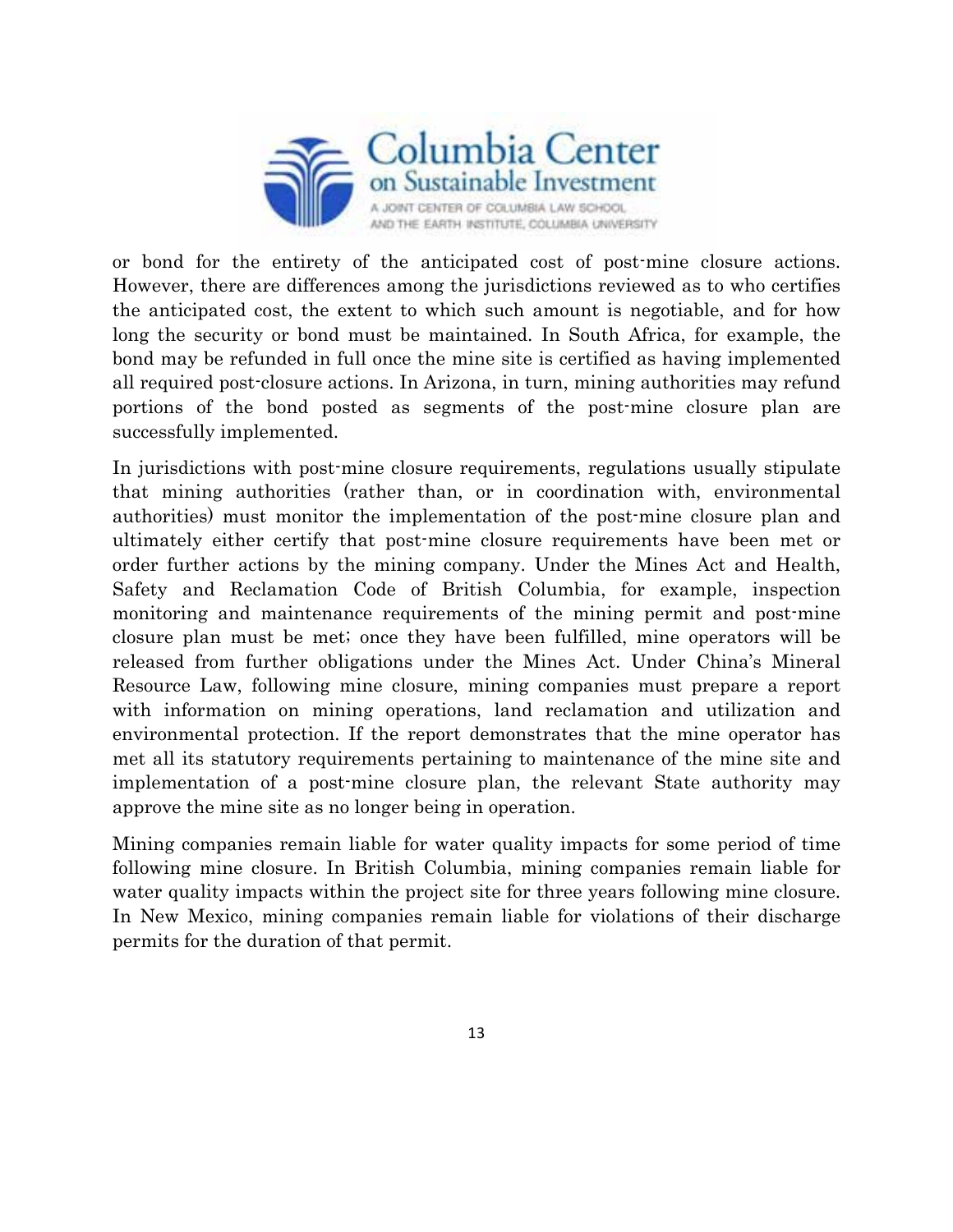

or bond for the entirety of the anticipated cost of post-mine closure actions. However, there are differences among the jurisdictions reviewed as to who certifies the anticipated cost, the extent to which such amount is negotiable, and for how long the security or bond must be maintained. In South Africa, for example, the bond may be refunded in full once the mine site is certified as having implemented all required post-closure actions. In Arizona, in turn, mining authorities may refund portions of the bond posted as segments of the post-mine closure plan are successfully implemented.

In jurisdictions with post-mine closure requirements, regulations usually stipulate that mining authorities (rather than, or in coordination with, environmental authorities) must monitor the implementation of the post-mine closure plan and ultimately either certify that post-mine closure requirements have been met or order further actions by the mining company. Under the Mines Act and Health, Safety and Reclamation Code of British Columbia, for example, inspection monitoring and maintenance requirements of the mining permit and post-mine closure plan must be met; once they have been fulfilled, mine operators will be released from further obligations under the Mines Act. Under China's Mineral Resource Law, following mine closure, mining companies must prepare a report with information on mining operations, land reclamation and utilization and environmental protection. If the report demonstrates that the mine operator has met all its statutory requirements pertaining to maintenance of the mine site and implementation of a post-mine closure plan, the relevant State authority may approve the mine site as no longer being in operation.

Mining companies remain liable for water quality impacts for some period of time following mine closure. In British Columbia, mining companies remain liable for water quality impacts within the project site for three years following mine closure. In New Mexico, mining companies remain liable for violations of their discharge permits for the duration of that permit.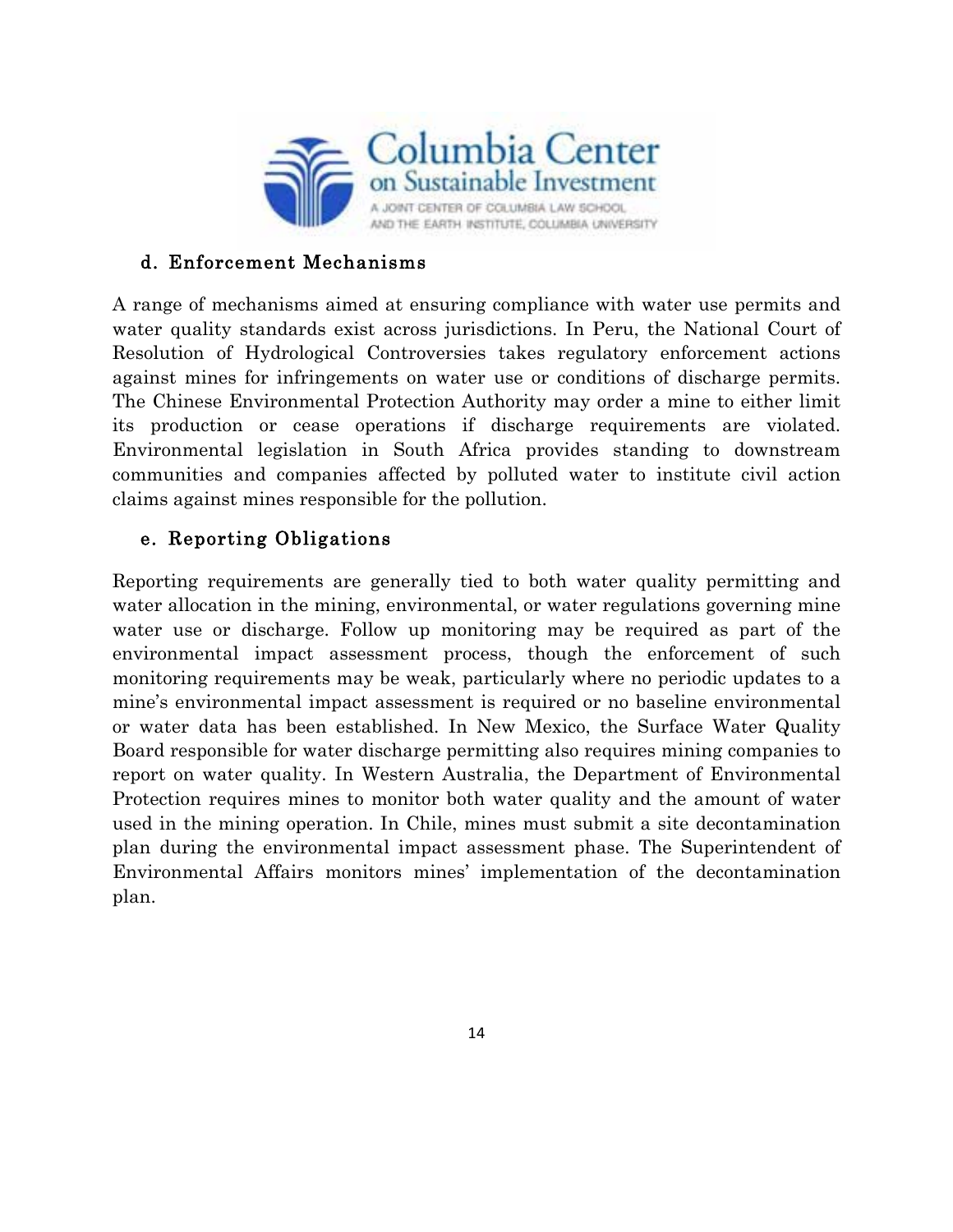

### d. Enforcement Mechanisms

A range of mechanisms aimed at ensuring compliance with water use permits and water quality standards exist across jurisdictions. In Peru, the National Court of Resolution of Hydrological Controversies takes regulatory enforcement actions against mines for infringements on water use or conditions of discharge permits. The Chinese Environmental Protection Authority may order a mine to either limit its production or cease operations if discharge requirements are violated. Environmental legislation in South Africa provides standing to downstream communities and companies affected by polluted water to institute civil action claims against mines responsible for the pollution.

# e. Reporting Obligations

Reporting requirements are generally tied to both water quality permitting and water allocation in the mining, environmental, or water regulations governing mine water use or discharge. Follow up monitoring may be required as part of the environmental impact assessment process, though the enforcement of such monitoring requirements may be weak, particularly where no periodic updates to a mine's environmental impact assessment is required or no baseline environmental or water data has been established. In New Mexico, the Surface Water Quality Board responsible for water discharge permitting also requires mining companies to report on water quality. In Western Australia, the Department of Environmental Protection requires mines to monitor both water quality and the amount of water used in the mining operation. In Chile, mines must submit a site decontamination plan during the environmental impact assessment phase. The Superintendent of Environmental Affairs monitors mines' implementation of the decontamination plan.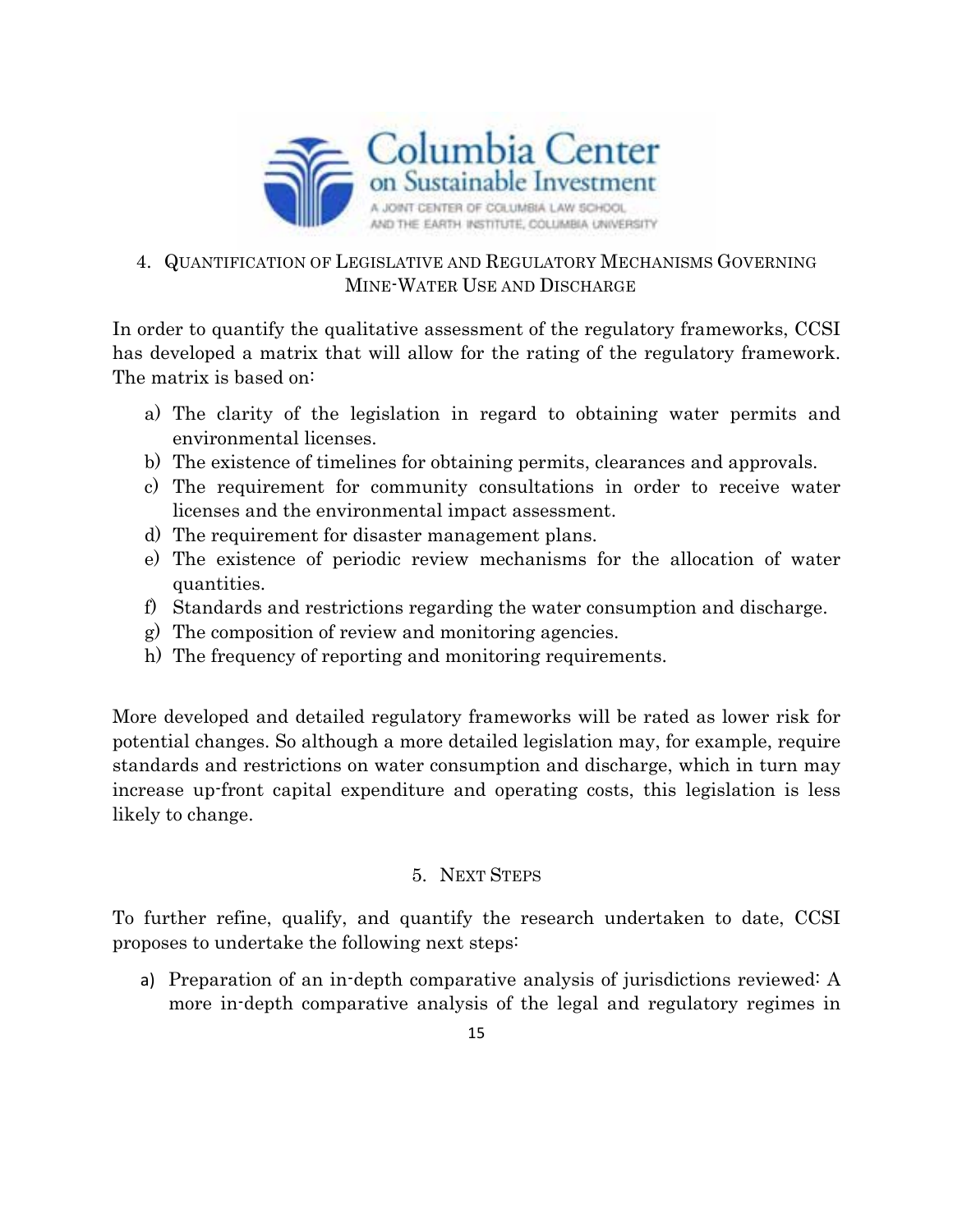

# 4. QUANTIFICATION OF LEGISLATIVE AND REGULATORY MECHANISMS GOVERNING MINE-WATER USE AND DISCHARGE

In order to quantify the qualitative assessment of the regulatory frameworks, CCSI has developed a matrix that will allow for the rating of the regulatory framework. The matrix is based on:

- a) The clarity of the legislation in regard to obtaining water permits and environmental licenses.
- b) The existence of timelines for obtaining permits, clearances and approvals.
- c) The requirement for community consultations in order to receive water licenses and the environmental impact assessment.
- d) The requirement for disaster management plans.
- e) The existence of periodic review mechanisms for the allocation of water quantities.
- f) Standards and restrictions regarding the water consumption and discharge.
- g) The composition of review and monitoring agencies.
- h) The frequency of reporting and monitoring requirements.

More developed and detailed regulatory frameworks will be rated as lower risk for potential changes. So although a more detailed legislation may, for example, require standards and restrictions on water consumption and discharge, which in turn may increase up-front capital expenditure and operating costs, this legislation is less likely to change.

#### 5. NEXT STEPS

To further refine, qualify, and quantify the research undertaken to date, CCSI proposes to undertake the following next steps:

a) Preparation of an in-depth comparative analysis of jurisdictions reviewed: A more in-depth comparative analysis of the legal and regulatory regimes in